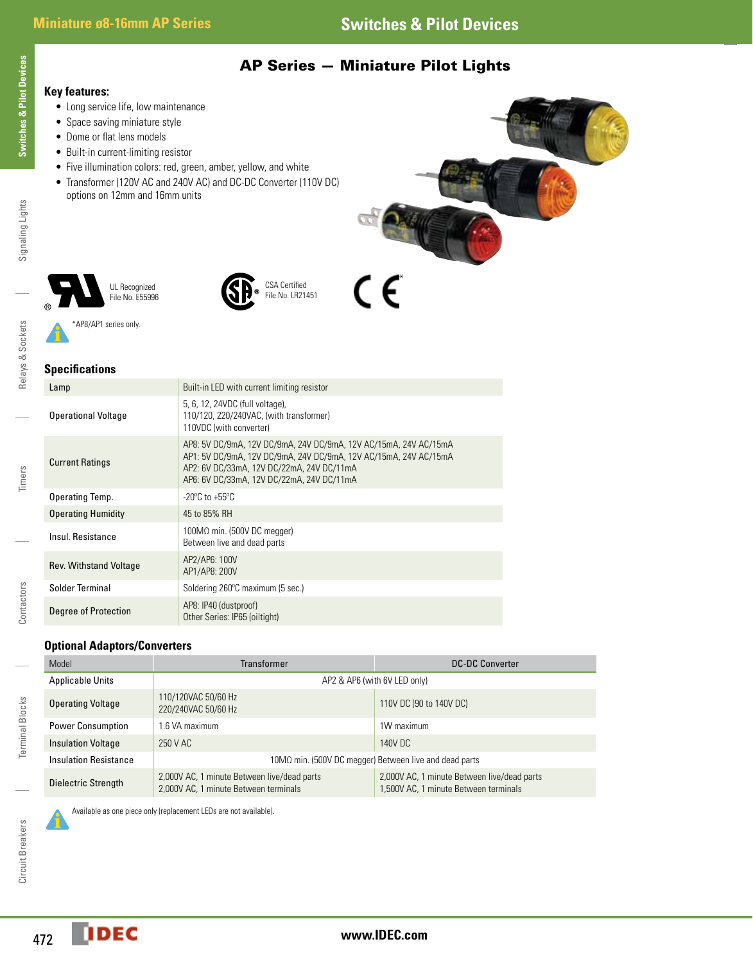## AP Series — Miniature Pilot Lights

### **Key features:**

- Long service life, low maintenance
- Space saving miniature style
- Dome or flat lens models
- Built-in current-limiting resistor
- Five illumination colors: red, green, amber, yellow, and white
- Transformer (120V AC and 240V AC) and DC-DC Converter (110V DC) options on 12mm and 16mm units



**Switches & Pilot Devices**

**Switches & Pilot Devices** 



Timers

Contactors

Contactors

Terminal Blocks

Terminal Blocks

AP8/AP1 series only.

#### **Specifications**

| Lamp                          | Built-in LED with current limiting resistor                                                                                                                                                                                    |
|-------------------------------|--------------------------------------------------------------------------------------------------------------------------------------------------------------------------------------------------------------------------------|
| <b>Operational Voltage</b>    | 5, 6, 12, 24VDC (full voltage),<br>110/120, 220/240VAC, (with transformer)<br>110VDC (with converter)                                                                                                                          |
| <b>Current Ratings</b>        | AP8: 5V DC/9mA, 12V DC/9mA, 24V DC/9mA, 12V AC/15mA, 24V AC/15mA<br>AP1: 5V DC/9mA, 12V DC/9mA, 24V DC/9mA, 12V AC/15mA, 24V AC/15mA<br>AP2: 6V DC/33mA, 12V DC/22mA, 24V DC/11mA<br>AP6: 6V DC/33mA, 12V DC/22mA, 24V DC/11mA |
| Operating Temp.               | $-20^{\circ}$ C to $+55^{\circ}$ C                                                                                                                                                                                             |
| <b>Operating Humidity</b>     | 45 to 85% RH                                                                                                                                                                                                                   |
| Insul. Resistance             | $100M\Omega$ min. (500V DC megger)<br>Between live and dead parts                                                                                                                                                              |
| <b>Rev. Withstand Voltage</b> | AP2/AP6: 100V<br>AP1/AP8: 200V                                                                                                                                                                                                 |
| Solder Terminal               | Soldering 260°C maximum (5 sec.)                                                                                                                                                                                               |
| Degree of Protection          | AP8: IP40 (dustproof)<br>Other Series: IP65 (oiltight)                                                                                                                                                                         |

CSA Certified File No. LR21451

#### **Optional Adaptors/Converters**

| Model                                                                  | <b>Transformer</b>                                                                   | <b>DC-DC Converter</b>                                                               |  |  |  |
|------------------------------------------------------------------------|--------------------------------------------------------------------------------------|--------------------------------------------------------------------------------------|--|--|--|
| <b>Applicable Units</b>                                                |                                                                                      | AP2 & AP6 (with 6V LED only)                                                         |  |  |  |
| 110/120VAC 50/60 Hz<br><b>Operating Voltage</b><br>220/240VAC 50/60 Hz |                                                                                      | 110V DC (90 to 140V DC)                                                              |  |  |  |
| <b>Power Consumption</b>                                               | 1.6 VA maximum                                                                       | 1W maximum                                                                           |  |  |  |
| <b>Insulation Voltage</b>                                              | 250 V AC                                                                             | 140V DC                                                                              |  |  |  |
| <b>Insulation Resistance</b>                                           |                                                                                      | $10M\Omega$ min. (500V DC megger) Between live and dead parts                        |  |  |  |
| Dielectric Strength                                                    | 2,000V AC, 1 minute Between live/dead parts<br>2,000V AC, 1 minute Between terminals | 2,000V AC, 1 minute Between live/dead parts<br>1,500V AC, 1 minute Between terminals |  |  |  |

Available as one piece only (replacement LEDs are not available).

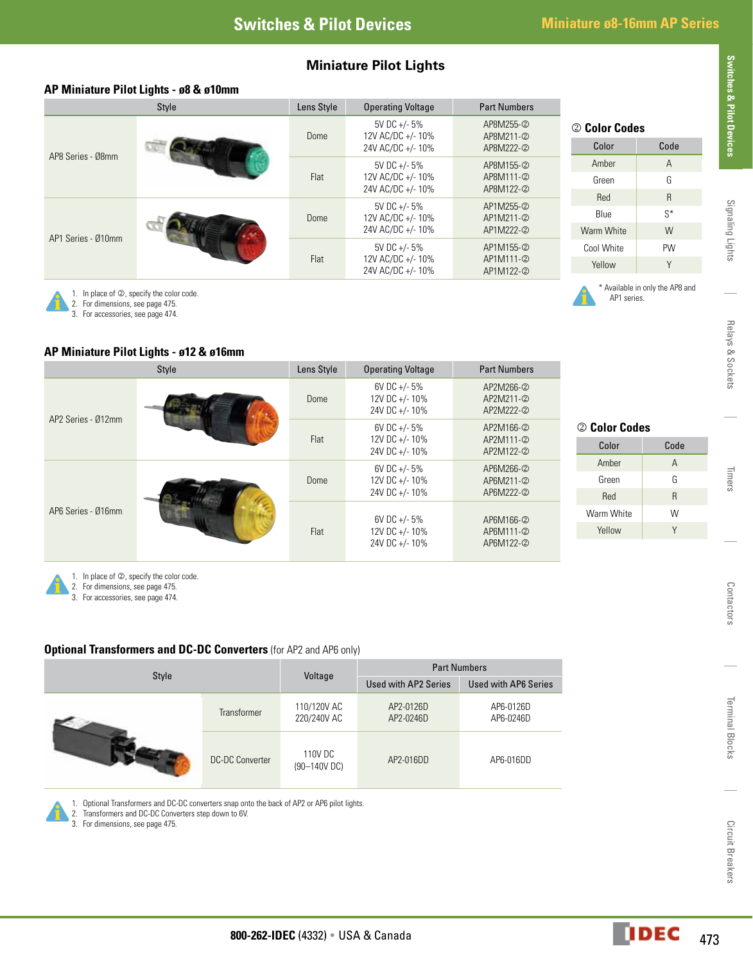## **Miniature Pilot Lights**

#### **AP Miniature Pilot Lights - ø8 & ø10mm**

|                                           | Style | Lens Style | <b>Operating Voltage</b>               | <b>Part Numbers</b>    |                        |  |
|-------------------------------------------|-------|------------|----------------------------------------|------------------------|------------------------|--|
|                                           |       | Dome       | 5V DC +/- 5%<br>12V AC/DC +/-10%       | AP8M255-2<br>AP8M211-2 | 2 Color Codes<br>Color |  |
| AP8 Series - Ø8mm                         |       |            | 24V AC/DC +/- 10%<br>$5V$ DC +/- $5%$  | AP8M222-2<br>AP8M155-2 | Amber                  |  |
| AP1 Series - Ø10mm                        |       | Flat       | 12V AC/DC +/- 10%                      | AP8M111-2              | Green                  |  |
|                                           |       |            | 24V AC/DC +/- 10%                      | AP8M122-2              | Red                    |  |
|                                           |       | Dome       | $5V$ DC +/- $5%$<br>12V AC/DC +/-10%   | AP1M255-2<br>AP1M211-2 | Blue                   |  |
|                                           |       |            | 24V AC/DC +/- 10%                      | AP1M222-2              | Warm White             |  |
|                                           |       | Flat       | $5V$ DC +/- $5%$                       | AP1M155-2              | Cool White             |  |
|                                           |       |            | 12V AC/DC +/- 10%<br>24V AC/DC +/- 10% | AP1M111-2<br>AP1M122-2 | Yellow                 |  |
| 1. In place of 2, specify the color code. |       |            |                                        |                        |                        |  |

Code Amber A n G  $\sf R$  $S^*$ /hite W hite PW Yellow **Y** 



wailable in only the AP8 and<br>AP1 series.

#### **AP Miniature Pilot Lights - ø12 & ø16mm**

2. For dimensions, see page 475. 3. For accessories, see page 474.

| Style              |  | Lens Style | <b>Operating Voltage</b>                          | <b>Part Numbers</b>                 |               |              |
|--------------------|--|------------|---------------------------------------------------|-------------------------------------|---------------|--------------|
| AP2 Series - Ø12mm |  | Dome       | 6V DC +/- $5\%$<br>12V DC +/-10%<br>24V DC +/-10% | AP2M266-2<br>AP2M211-2<br>AP2M222-2 |               |              |
|                    |  |            | 6V DC +/- 5%                                      | AP2M166-2                           | 2 Color Codes |              |
|                    |  | Flat       | 12V DC +/-10%<br>24V DC +/-10%                    | AP2M111-2<br>AP2M122-2              | Color         | Code         |
|                    |  | Dome       | 6V DC +/- 5%                                      | AP6M266-2                           | Amber         | $\mathsf{A}$ |
|                    |  |            | 12V DC +/-10%                                     | AP6M211-2                           | Green         | G            |
|                    |  |            | 24V DC +/-10%                                     | AP6M222-2                           | Red           | $\mathsf{R}$ |
| AP6 Series - Ø16mm |  | Flat       | 6V DC +/- 5%                                      | AP6M166-2                           | Warm White    | W            |
|                    |  |            | 12V DC +/-10%                                     | AP6M111-2                           | Yellow        | $\vee$       |
|                    |  |            | 24V DC +/-10%                                     | AP6M122-2                           |               |              |
|                    |  |            |                                                   |                                     |               |              |

1. In place of 2, specify the color code. 2. For dimensions, see page 475.

3. For accessories, see page 474.

#### **Optional Transformers and DC-DC Converters** (for AP2 and AP6 only)

|       | Voltage                | <b>Part Numbers</b>        |                        |                             |
|-------|------------------------|----------------------------|------------------------|-----------------------------|
| Style |                        |                            | Used with AP2 Series   | <b>Used with AP6 Series</b> |
|       | Transformer            | 110/120V AC<br>220/240V AC | AP2-0126D<br>AP2-0246D | AP6-0126D<br>AP6-0246D      |
|       | <b>DC-DC Converter</b> | 110V DC<br>(90-140V DC)    | AP2-016DD              | AP6-016DD                   |



1. Optional Transformers and DC-DC converters snap onto the back of AP2 or AP6 pilot lights.

2. Transformers and DC-DC Converters step down to 6V.

3. For dimensions, see page 475.

Terminal Blocks

**Terminal Blocks**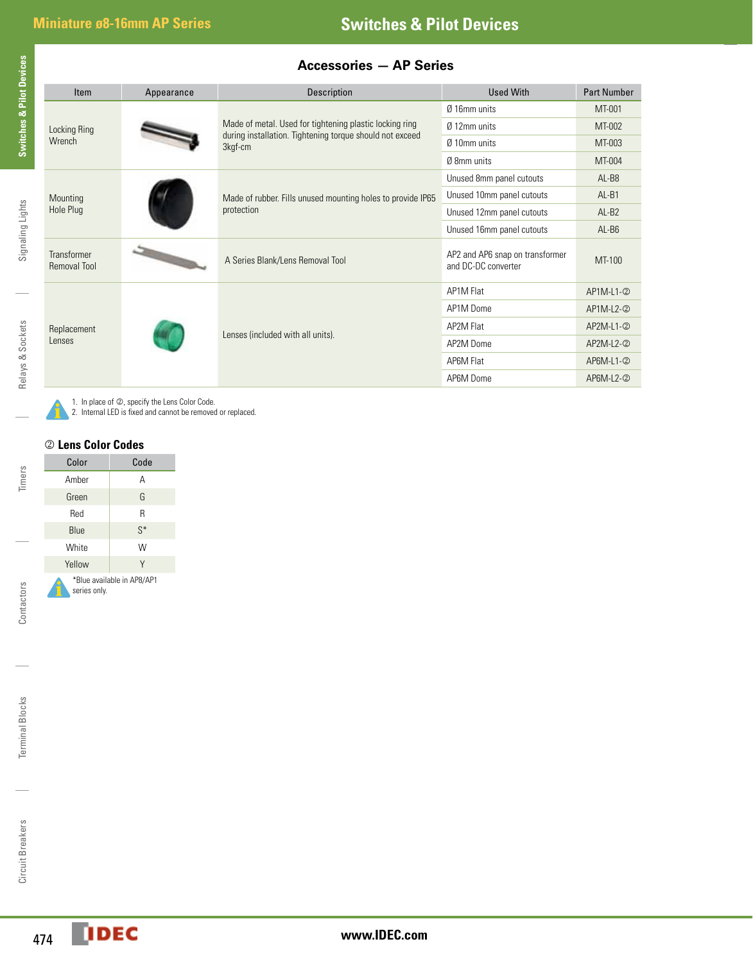# **Miniature ø8-16mm AP Series Switches & Pilot Devices**

| <b>Accessories - AP Series</b> |  |
|--------------------------------|--|
|--------------------------------|--|

| <b>Switches &amp; Pilot Devices</b> | <b>Accessories - AP Series</b> |                                                                                                                               |                                                             |                                                        |                    |  |  |  |  |
|-------------------------------------|--------------------------------|-------------------------------------------------------------------------------------------------------------------------------|-------------------------------------------------------------|--------------------------------------------------------|--------------------|--|--|--|--|
|                                     | <b>Item</b>                    | Appearance                                                                                                                    | <b>Description</b>                                          | <b>Used With</b>                                       | <b>Part Number</b> |  |  |  |  |
|                                     |                                |                                                                                                                               |                                                             | Ø 16mm units                                           | MT-001             |  |  |  |  |
|                                     | Locking Ring                   | Made of metal. Used for tightening plastic locking ring<br>during installation. Tightening torque should not exceed<br>Wrench |                                                             | $Ø$ 12mm units                                         | MT-002             |  |  |  |  |
|                                     |                                |                                                                                                                               | 3kgf-cm                                                     | Ø 10mm units                                           | MT-003             |  |  |  |  |
|                                     |                                | Ø 8mm units                                                                                                                   | MT-004                                                      |                                                        |                    |  |  |  |  |
|                                     |                                |                                                                                                                               |                                                             | Unused 8mm panel cutouts                               | AL-B8              |  |  |  |  |
|                                     | Mounting<br>Hole Plug          |                                                                                                                               | Made of rubber. Fills unused mounting holes to provide IP65 | Unused 10mm panel cutouts                              | AL-B1              |  |  |  |  |
|                                     |                                |                                                                                                                               | protection                                                  | Unused 12mm panel cutouts                              | $AL-B2$            |  |  |  |  |
|                                     |                                |                                                                                                                               |                                                             | Unused 16mm panel cutouts                              | AL-B6              |  |  |  |  |
| Signaling Lights                    | Transformer<br>Removal Tool    |                                                                                                                               | A Series Blank/Lens Removal Tool                            | AP2 and AP6 snap on transformer<br>and DC-DC converter | MT-100             |  |  |  |  |
|                                     |                                |                                                                                                                               |                                                             | <b>AP1M Flat</b>                                       | AP1M-L1-2          |  |  |  |  |
|                                     |                                |                                                                                                                               |                                                             | AP1M Dome                                              | AP1M-L2-2          |  |  |  |  |
|                                     | Replacement                    |                                                                                                                               |                                                             | <b>AP2M Flat</b>                                       | AP2M-L1-2          |  |  |  |  |
| Sockets                             | Lenses                         |                                                                                                                               | Lenses (included with all units).                           | AP2M Dome                                              | AP2M-L2-2          |  |  |  |  |
| elays &                             |                                |                                                                                                                               |                                                             | AP6M Flat                                              | AP6M-L1-2          |  |  |  |  |
|                                     |                                |                                                                                                                               |                                                             | AP6M Dome                                              | AP6M-L2-2          |  |  |  |  |

Relays & Sockets Relays & Sockets

Timers



1. In place of 2, specify the Lens Color Code.

2. Internal LED is fixed and cannot be removed or replaced.

#### k **Lens Color Codes**

| Color                                      | Code  |  |  |  |  |
|--------------------------------------------|-------|--|--|--|--|
| Amber                                      | А     |  |  |  |  |
| Green                                      | G     |  |  |  |  |
| Red                                        | R     |  |  |  |  |
| Blue                                       | $S^*$ |  |  |  |  |
| White                                      | W     |  |  |  |  |
| Yellow                                     | Y     |  |  |  |  |
| *Blue available in AP8/AP1<br>series only. |       |  |  |  |  |